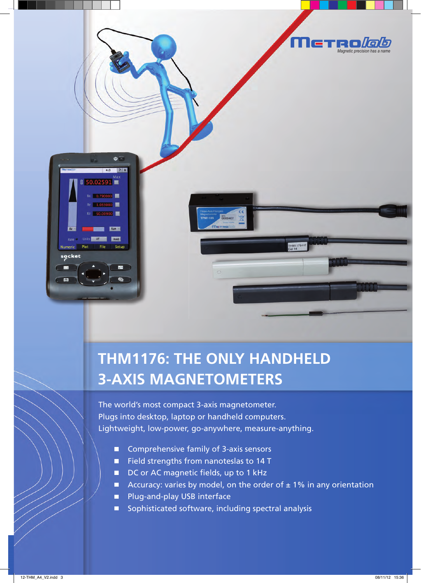

## **THM1176: THE ONLY HANDHELD 3-AXIS MAGNETOMETERS**

The world's most compact 3-axis magnetometer. Plugs into desktop, laptop or handheld computers. Lightweight, low-power, go-anywhere, measure-anything.

- Comprehensive family of 3-axis sensors  $\Box$
- Field strengths from nanoteslas to 14 T
- $\blacksquare$  DC or AC magnetic fields, up to 1 kHz
- Accuracy: varies by model, on the order of  $\pm$  1% in any orientation
- **Plug-and-play USB interface**
- $\Box$ Sophisticated software, including spectral analysis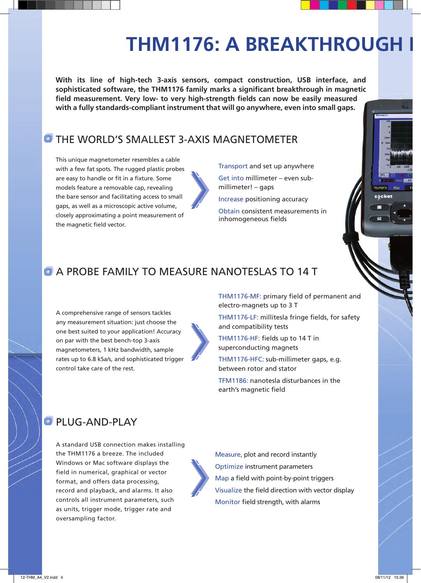# **THM1176: A BREAKTHROUGH I**

**With its line of high-tech 3-axis sensors, compact construction, USB interface, and**  sophisticated software, the THM1176 family marks a significant breakthrough in magnetic field measurement. Very low- to very high-strength fields can now be easily measured **with a fully standards-compliant instrument that will go anywhere, even into small gaps.**

## **O THE WORLD'S SMALLEST 3-AXIS MAGNETOMETER**

This unique magnetometer resembles a cable with a few fat spots. The rugged plastic probes are easy to handle or fit in a fixture. Some models feature a removable cap, revealing the bare sensor and facilitating access to small gaps, as well as a microscopic active volume, closely approximating a point measurement of the magnetic field vector.

Transport and set up anywhere

Get into millimeter – even submillimeter! – gaps

Increase positioning accuracy

Obtain consistent measurements in inhomogeneous fields

## **C** A PROBE FAMILY TO MEASURE NANOTESLAS TO 14 T

A comprehensive range of sensors tackles any measurement situation: just choose the one best suited to your application! Accuracy on par with the best bench-top 3-axis magnetometers, 1 kHz bandwidth, sample rates up to 6.8 kSa/s, and sophisticated trigger control take care of the rest.



THM1176-MF: primary field of permanent and electro-magnets up to 3 T

THM1176-LF: millitesla fringe fields, for safety and compatibility tests

THM1176-HF: fields up to 14 T in superconducting magnets

THM1176-HFC: sub-millimeter gaps, e.g. between rotor and stator

TFM1186: nanotesla disturbances in the earth's magnetic field

## **PLUG-AND-PLAY**

A standard USB connection makes installing the THM1176 a breeze. The included Windows or Mac software displays the field in numerical, graphical or vector format, and offers data processing, record and playback, and alarms. It also controls all instrument parameters, such as units, trigger mode, trigger rate and oversampling factor.

Measure, plot and record instantly Optimize instrument parameters Map a field with point-by-point triggers Visualize the field direction with vector display Monitor field strength, with alarms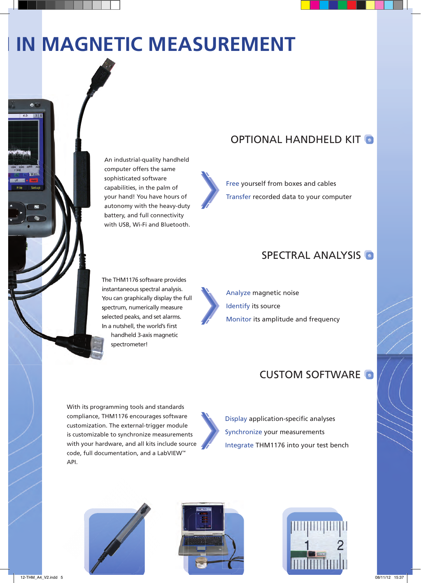# **IN MAGNETIC MEASUREMENT**

An industrial-quality handheld computer offers the same sophisticated software capabilities, in the palm of your hand! You have hours of autonomy with the heavy-duty battery, and full connectivity with USB, Wi-Fi and Bluetooth.

## OPTIONAL HANDHELD KIT

Free yourself from boxes and cables Transfer recorded data to your computer

### SPECTRAL ANALYSIS

The THM1176 software provides instantaneous spectral analysis. You can graphically display the full spectrum, numerically measure selected peaks, and set alarms. In a nutshell, the world's first handheld 3-axis magnetic

spectrometer!

Analyze magnetic noise Identify its source Monitor its amplitude and frequency

## CUSTOM SOFTWARE

With its programming tools and standards compliance, THM1176 encourages software customization. The external-trigger module is customizable to synchronize measurements with your hardware, and all kits include source code, full documentation, and a LabVIEW™ API.



Display application-specific analyses Synchronize your measurements Integrate THM1176 into your test bench